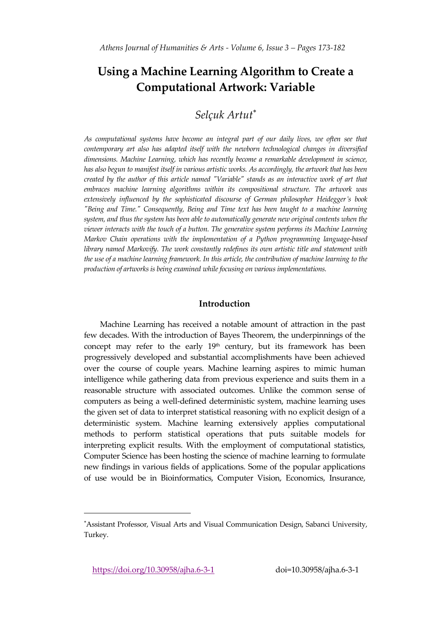# **Using a Machine Learning Algorithm to Create a Computational Artwork: Variable**

## *Selçuk Artut*

*As computational systems have become an integral part of our daily lives, we often see that contemporary art also has adapted itself with the newborn technological changes in diversified dimensions. Machine Learning, which has recently become a remarkable development in science, has also begun to manifest itself in various artistic works. As accordingly, the artwork that has been created by the author of this article named "Variable" stands as an interactive work of art that embraces machine learning algorithms within its compositional structure. The artwork was extensively influenced by the sophisticated discourse of German philosopher Heidegger's book "Being and Time." Consequently, Being and Time text has been taught to a machine learning system, and thus the system has been able to automatically generate new original contents when the viewer interacts with the touch of a button. The generative system performs its Machine Learning Markov Chain operations with the implementation of a Python programming language-based library named Markovify. The work constantly redefines its own artistic title and statement with the use of a machine learning framework. In this article, the contribution of machine learning to the production of artworks is being examined while focusing on various implementations.*

### **Introduction**

Machine Learning has received a notable amount of attraction in the past few decades. With the introduction of Bayes Theorem, the underpinnings of the concept may refer to the early  $19<sup>th</sup>$  century, but its framework has been progressively developed and substantial accomplishments have been achieved over the course of couple years. Machine learning aspires to mimic human intelligence while gathering data from previous experience and suits them in a reasonable structure with associated outcomes. Unlike the common sense of computers as being a well-defined deterministic system, machine learning uses the given set of data to interpret statistical reasoning with no explicit design of a deterministic system. Machine learning extensively applies computational methods to perform statistical operations that puts suitable models for interpreting explicit results. With the employment of computational statistics, Computer Science has been hosting the science of machine learning to formulate new findings in various fields of applications. Some of the popular applications of use would be in Bioinformatics, Computer Vision, Economics, Insurance,

Assistant Professor, Visual Arts and Visual Communication Design, Sabanci University, Turkey.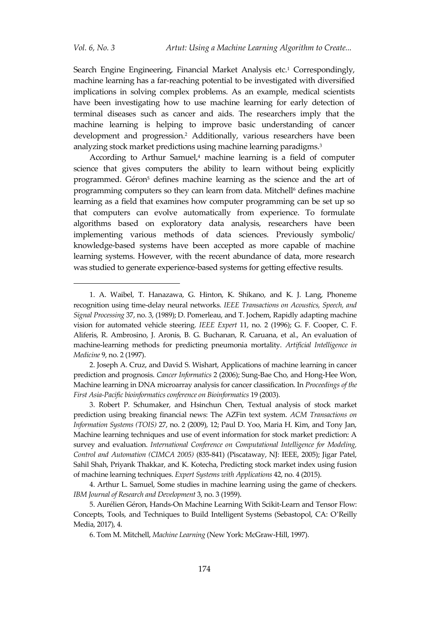j

Search Engine Engineering, Financial Market Analysis etc.<sup>1</sup> Correspondingly, machine learning has a far-reaching potential to be investigated with diversified implications in solving complex problems. As an example, medical scientists have been investigating how to use machine learning for early detection of terminal diseases such as cancer and aids. The researchers imply that the machine learning is helping to improve basic understanding of cancer development and progression.<sup>2</sup> Additionally, various researchers have been analyzing stock market predictions using machine learning paradigms.<sup>3</sup>

According to Arthur Samuel,<sup>4</sup> machine learning is a field of computer science that gives computers the ability to learn without being explicitly programmed. Géron<sup>5</sup> defines machine learning as the science and the art of programming computers so they can learn from data. Mitchell<sup>6</sup> defines machine learning as a field that examines how computer programming can be set up so that computers can evolve automatically from experience. To formulate algorithms based on exploratory data analysis, researchers have been implementing various methods of data sciences. Previously symbolic/ knowledge-based systems have been accepted as more capable of machine learning systems. However, with the recent abundance of data, more research was studied to generate experience-based systems for getting effective results.

3. Robert P. Schumaker, and Hsinchun Chen, Textual analysis of stock market prediction using breaking financial news: The AZFin text system. *ACM Transactions on Information Systems (TOIS)* 27, no. 2 (2009), 12; Paul D. Yoo, Maria H. Kim, and Tony Jan, Machine learning techniques and use of event information for stock market prediction: A survey and evaluation. *International Conference on Computational Intelligence for Modeling, Control and Automation (CIMCA 2005)* (835-841) (Piscataway, NJ: IEEE, 2005); Jigar Patel, Sahil Shah, Priyank Thakkar, and K. Kotecha, Predicting stock market index using fusion of machine learning techniques. *Expert Systems with Applications* 42, no. 4 (2015).

<sup>1.</sup> A. Waibel, T. Hanazawa, G. Hinton, K. Shikano, and K. J. Lang, Phoneme recognition using time-delay neural networks. *IEEE Transactions on Acoustics, Speech, and Signal Processing* 37, no. 3, (1989); D. Pomerleau, and T. Jochem, Rapidly adapting machine vision for automated vehicle steering. *IEEE Expert* 11, no. 2 (1996); G. F. Cooper, C. F. Aliferis, R. Ambrosino, J. Aronis, B. G. Buchanan, R. Caruana, et al., An evaluation of machine-learning methods for predicting pneumonia mortality. *Artificial Intelligence in Medicine* 9, no. 2 (1997).

<sup>2.</sup> Joseph A. Cruz, and David S. Wishart, Applications of machine learning in cancer prediction and prognosis. *Cancer Informatics* 2 (2006); Sung-Bae Cho, and Hong-Hee Won, Machine learning in DNA microarray analysis for cancer classification. In *Proceedings of the First Asia-Pacific bioinformatics conference on Bioinformatics* 19 (2003).

<sup>4.</sup> Arthur L. Samuel, Some studies in machine learning using the game of checkers. *IBM Journal of Research and Development* 3, no. 3 (1959).

<sup>5.</sup> Aurélien Géron, Hands-On Machine Learning With Scikit-Learn and Tensor Flow: Concepts, Tools, and Techniques to Build Intelligent Systems (Sebastopol, CA: O'Reilly Media, 2017), 4.

<sup>6.</sup> Tom M. Mitchell, *Machine Learning* (New York: McGraw-Hill, 1997).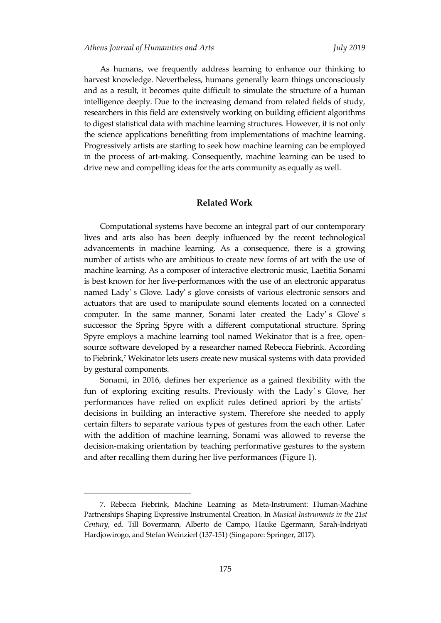As humans, we frequently address learning to enhance our thinking to harvest knowledge. Nevertheless, humans generally learn things unconsciously and as a result, it becomes quite difficult to simulate the structure of a human intelligence deeply. Due to the increasing demand from related fields of study, researchers in this field are extensively working on building efficient algorithms to digest statistical data with machine learning structures. However, it is not only the science applications benefitting from implementations of machine learning. Progressively artists are starting to seek how machine learning can be employed in the process of art-making. Consequently, machine learning can be used to drive new and compelling ideas for the arts community as equally as well.

#### **Related Work**

Computational systems have become an integral part of our contemporary lives and arts also has been deeply influenced by the recent technological advancements in machine learning. As a consequence, there is a growing number of artists who are ambitious to create new forms of art with the use of machine learning. As a composer of interactive electronic music, Laetitia Sonami is best known for her live-performances with the use of an electronic apparatus named Lady' s Glove. Lady' s glove consists of various electronic sensors and actuators that are used to manipulate sound elements located on a connected computer. In the same manner, Sonami later created the Lady' s Glove' s successor the Spring Spyre with a different computational structure. Spring Spyre employs a machine learning tool named Wekinator that is a free, opensource software developed by a researcher named Rebecca Fiebrink. According to Fiebrink,<sup>7</sup> Wekinator lets users create new musical systems with data provided by gestural components.

Sonami, in 2016, defines her experience as a gained flexibility with the fun of exploring exciting results. Previously with the Lady' s Glove, her performances have relied on explicit rules defined apriori by the artists' decisions in building an interactive system. Therefore she needed to apply certain filters to separate various types of gestures from the each other. Later with the addition of machine learning, Sonami was allowed to reverse the decision-making orientation by teaching performative gestures to the system and after recalling them during her live performances (Figure 1).

<sup>7.</sup> Rebecca Fiebrink, Machine Learning as Meta-Instrument: Human-Machine Partnerships Shaping Expressive Instrumental Creation. In *Musical Instruments in the 21st Century*, ed. Till Bovermann, Alberto de Campo, Hauke Egermann, Sarah-Indriyati Hardjowirogo, and Stefan Weinzierl (137-151) (Singapore: Springer, 2017).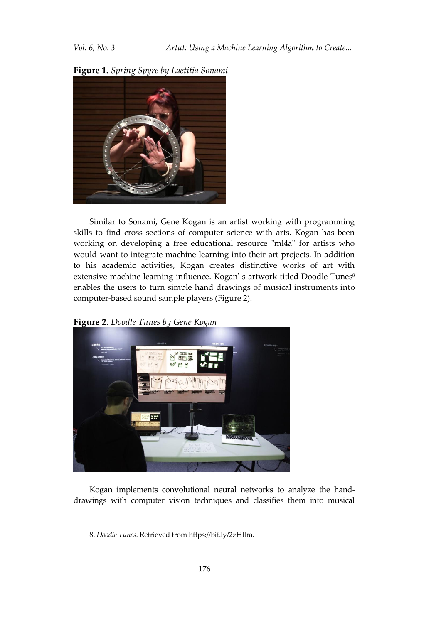

#### **Figure 1.** *Spring Spyre by Laetitia Sonami*

Similar to Sonami, Gene Kogan is an artist working with programming skills to find cross sections of computer science with arts. Kogan has been working on developing a free educational resource "ml4a" for artists who would want to integrate machine learning into their art projects. In addition to his academic activities, Kogan creates distinctive works of art with extensive machine learning influence. Kogan' s artwork titled Doodle Tunes<sup>8</sup> enables the users to turn simple hand drawings of musical instruments into computer-based sound sample players (Figure 2).

**Figure 2.** *Doodle Tunes by Gene Kogan*



Kogan implements convolutional neural networks to analyze the handdrawings with computer vision techniques and classifies them into musical

<sup>8.</sup> *Doodle Tunes*. Retrieved from https://bit.ly/2zHllra.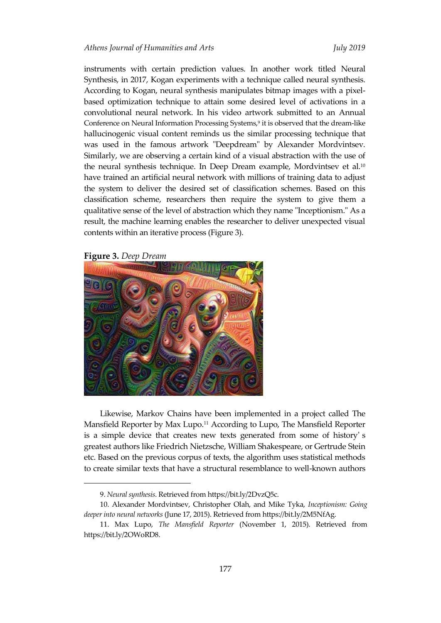instruments with certain prediction values. In another work titled Neural Synthesis, in 2017, Kogan experiments with a technique called neural synthesis. According to Kogan, neural synthesis manipulates bitmap images with a pixelbased optimization technique to attain some desired level of activations in a convolutional neural network. In his video artwork submitted to an Annual Conference on Neural Information Processing Systems,<sup>9</sup> it is observed that the dream-like hallucinogenic visual content reminds us the similar processing technique that was used in the famous artwork "Deepdream" by Alexander Mordvintsev. Similarly, we are observing a certain kind of a visual abstraction with the use of the neural synthesis technique. In Deep Dream example, Mordvintsev et al.<sup>10</sup> have trained an artificial neural network with millions of training data to adjust the system to deliver the desired set of classification schemes. Based on this classification scheme, researchers then require the system to give them a qualitative sense of the level of abstraction which they name "Inceptionism." As a result, the machine learning enables the researcher to deliver unexpected visual contents within an iterative process (Figure 3).

#### **Figure 3.** *Deep Dream*

1



Likewise, Markov Chains have been implemented in a project called The Mansfield Reporter by Max Lupo.<sup>11</sup> According to Lupo, The Mansfield Reporter is a simple device that creates new texts generated from some of history' s greatest authors like Friedrich Nietzsche, William Shakespeare, or Gertrude Stein etc. Based on the previous corpus of texts, the algorithm uses statistical methods to create similar texts that have a structural resemblance to well-known authors

<sup>9.</sup> *Neural synthesis*. Retrieved from https://bit.ly/2DvzQ5c.

<sup>10.</sup> Alexander Mordvintsev, Christopher Olah, and Mike Tyka, *Inceptionism: Going deeper into neural networks* (June 17, 2015). Retrieved from https://bit.ly/2M5NfAg.

<sup>11.</sup> Max Lupo, *The Mansfield Reporter* (November 1, 2015). Retrieved from https://bit.ly/2OWoRD8.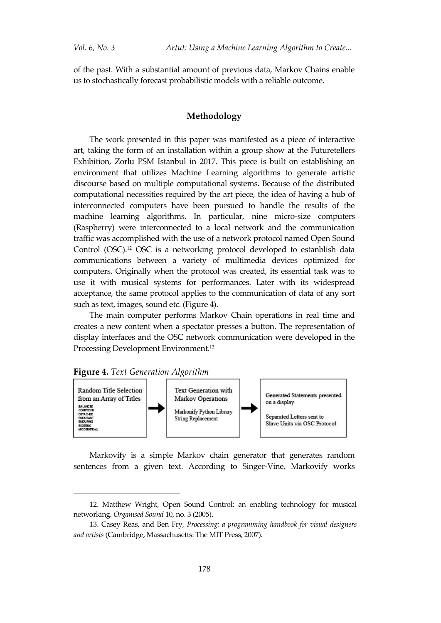of the past. With a substantial amount of previous data, Markov Chains enable us to stochastically forecast probabilistic models with a reliable outcome.

#### **Methodology**

The work presented in this paper was manifested as a piece of interactive art, taking the form of an installation within a group show at the Futuretellers Exhibition, Zorlu PSM Istanbul in 2017. This piece is built on establishing an environment that utilizes Machine Learning algorithms to generate artistic discourse based on multiple computational systems. Because of the distributed computational necessities required by the art piece, the idea of having a hub of interconnected computers have been pursued to handle the results of the machine learning algorithms. In particular, nine micro-size computers (Raspberry) were interconnected to a local network and the communication traffic was accomplished with the use of a network protocol named Open Sound Control (OSC).<sup>12</sup> OSC is a networking protocol developed to estanblish data communications between a variety of multimedia devices optimized for computers. Originally when the protocol was created, its essential task was to use it with musical systems for performances. Later with its widespread acceptance, the same protocol applies to the communication of data of any sort such as text, images, sound etc. (Figure 4).

The main computer performs Markov Chain operations in real time and creates a new content when a spectator presses a button. The representation of display interfaces and the OSC network communication were developed in the Processing Development Environment.<sup>13</sup>

#### **Figure 4.** *Text Generation Algorithm*

1



Markovify is a simple Markov chain generator that generates random sentences from a given text. According to Singer-Vine, Markovify works

<sup>12.</sup> Matthew Wright, Open Sound Control: an enabling technology for musical networking. *Organised Sound* 10, no. 3 (2005).

<sup>13.</sup> Casey Reas, and Ben Fry, *Processing: a programming handbook for visual designers and artists* (Cambridge, Massachusetts: The MIT Press, 2007).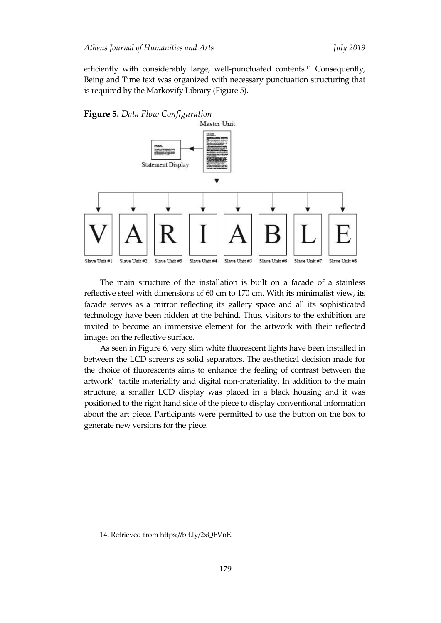efficiently with considerably large, well-punctuated contents.<sup>14</sup> Consequently, Being and Time text was organized with necessary punctuation structuring that is required by the Markovify Library (Figure 5).





The main structure of the installation is built on a facade of a stainless reflective steel with dimensions of 60 cm to 170 cm. With its minimalist view, its facade serves as a mirror reflecting its gallery space and all its sophisticated technology have been hidden at the behind. Thus, visitors to the exhibition are invited to become an immersive element for the artwork with their reflected images on the reflective surface.

As seen in Figure 6, very slim white fluorescent lights have been installed in between the LCD screens as solid separators. The aesthetical decision made for the choice of fluorescents aims to enhance the feeling of contrast between the artwork' tactile materiality and digital non-materiality. In addition to the main structure, a smaller LCD display was placed in a black housing and it was positioned to the right hand side of the piece to display conventional information about the art piece. Participants were permitted to use the button on the box to generate new versions for the piece.

<sup>14.</sup> Retrieved from https://bit.ly/2xQFVnE.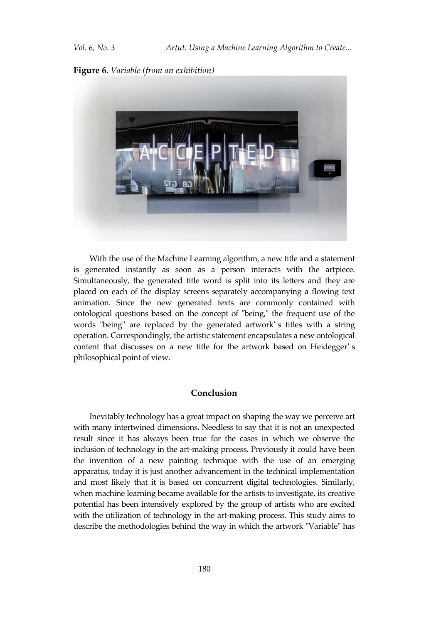**Figure 6.** *Variable (from an exhibition)*



With the use of the Machine Learning algorithm, a new title and a statement is generated instantly as soon as a person interacts with the artpiece. Simultaneously, the generated title word is split into its letters and they are placed on each of the display screens separately accompanying a flowing text animation. Since the new generated texts are commonly contained with ontological questions based on the concept of "being," the frequent use of the words "being" are replaced by the generated artwork' s titles with a string operation. Correspondingly, the artistic statement encapsulates a new ontological content that discusses on a new title for the artwork based on Heidegger' s philosophical point of view.

#### **Conclusion**

Inevitably technology has a great impact on shaping the way we perceive art with many intertwined dimensions. Needless to say that it is not an unexpected result since it has always been true for the cases in which we observe the inclusion of technology in the art-making process. Previously it could have been the invention of a new painting technique with the use of an emerging apparatus, today it is just another advancement in the technical implementation and most likely that it is based on concurrent digital technologies. Similarly, when machine learning became available for the artists to investigate, its creative potential has been intensively explored by the group of artists who are excited with the utilization of technology in the art-making process. This study aims to describe the methodologies behind the way in which the artwork "Variable" has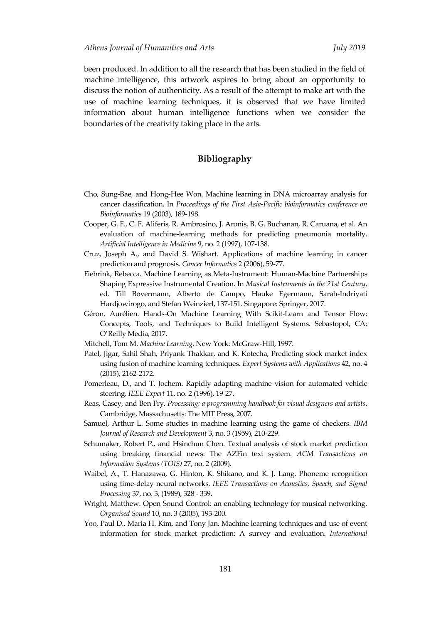been produced. In addition to all the research that has been studied in the field of machine intelligence, this artwork aspires to bring about an opportunity to discuss the notion of authenticity. As a result of the attempt to make art with the use of machine learning techniques, it is observed that we have limited information about human intelligence functions when we consider the boundaries of the creativity taking place in the arts.

## **Bibliography**

- Cho, Sung-Bae, and Hong-Hee Won. Machine learning in DNA microarray analysis for cancer classification. In *Proceedings of the First Asia-Pacific bioinformatics conference on Bioinformatics* 19 (2003), 189-198.
- Cooper, G. F., C. F. Aliferis, R. Ambrosino, J. Aronis, B. G. Buchanan, R. Caruana, et al. An evaluation of machine-learning methods for predicting pneumonia mortality. *Artificial Intelligence in Medicine* 9, no. 2 (1997), 107-138.
- Cruz, Joseph A., and David S. Wishart. Applications of machine learning in cancer prediction and prognosis. *Cancer Informatics* 2 (2006), 59-77.
- Fiebrink, Rebecca. Machine Learning as Meta-Instrument: Human-Machine Partnerships Shaping Expressive Instrumental Creation. In *Musical Instruments in the 21st Century*, ed. Till Bovermann, Alberto de Campo, Hauke Egermann, Sarah-Indriyati Hardjowirogo, and Stefan Weinzierl, 137-151. Singapore: Springer, 2017.
- Géron, Aurélien. Hands-On Machine Learning With Scikit-Learn and Tensor Flow: Concepts, Tools, and Techniques to Build Intelligent Systems. Sebastopol, CA: O'Reilly Media, 2017.
- Mitchell, Tom M. *Machine Learning*. New York: McGraw-Hill, 1997.
- Patel, Jigar, Sahil Shah, Priyank Thakkar, and K. Kotecha, Predicting stock market index using fusion of machine learning techniques. *Expert Systems with Applications* 42, no. 4 (2015), 2162-2172.
- Pomerleau, D., and T. Jochem. Rapidly adapting machine vision for automated vehicle steering. *IEEE Expert* 11, no. 2 (1996), 19-27.
- Reas, Casey, and Ben Fry. *Processing: a programming handbook for visual designers and artists*. Cambridge, Massachusetts: The MIT Press, 2007.
- Samuel, Arthur L. Some studies in machine learning using the game of checkers. *IBM Journal of Research and Development* 3, no. 3 (1959), 210-229.
- Schumaker, Robert P., and Hsinchun Chen. Textual analysis of stock market prediction using breaking financial news: The AZFin text system. *ACM Transactions on Information Systems (TOIS)* 27, no. 2 (2009).
- Waibel, A., T. Hanazawa, G. Hinton, K. Shikano, and K. J. Lang. Phoneme recognition using time-delay neural networks. *IEEE Transactions on Acoustics, Speech, and Signal Processing* 37, no. 3, (1989), 328 - 339.
- Wright, Matthew. Open Sound Control: an enabling technology for musical networking. *Organised Sound* 10, no. 3 (2005), 193-200.
- Yoo, Paul D., Maria H. Kim, and Tony Jan. Machine learning techniques and use of event information for stock market prediction: A survey and evaluation. *International*